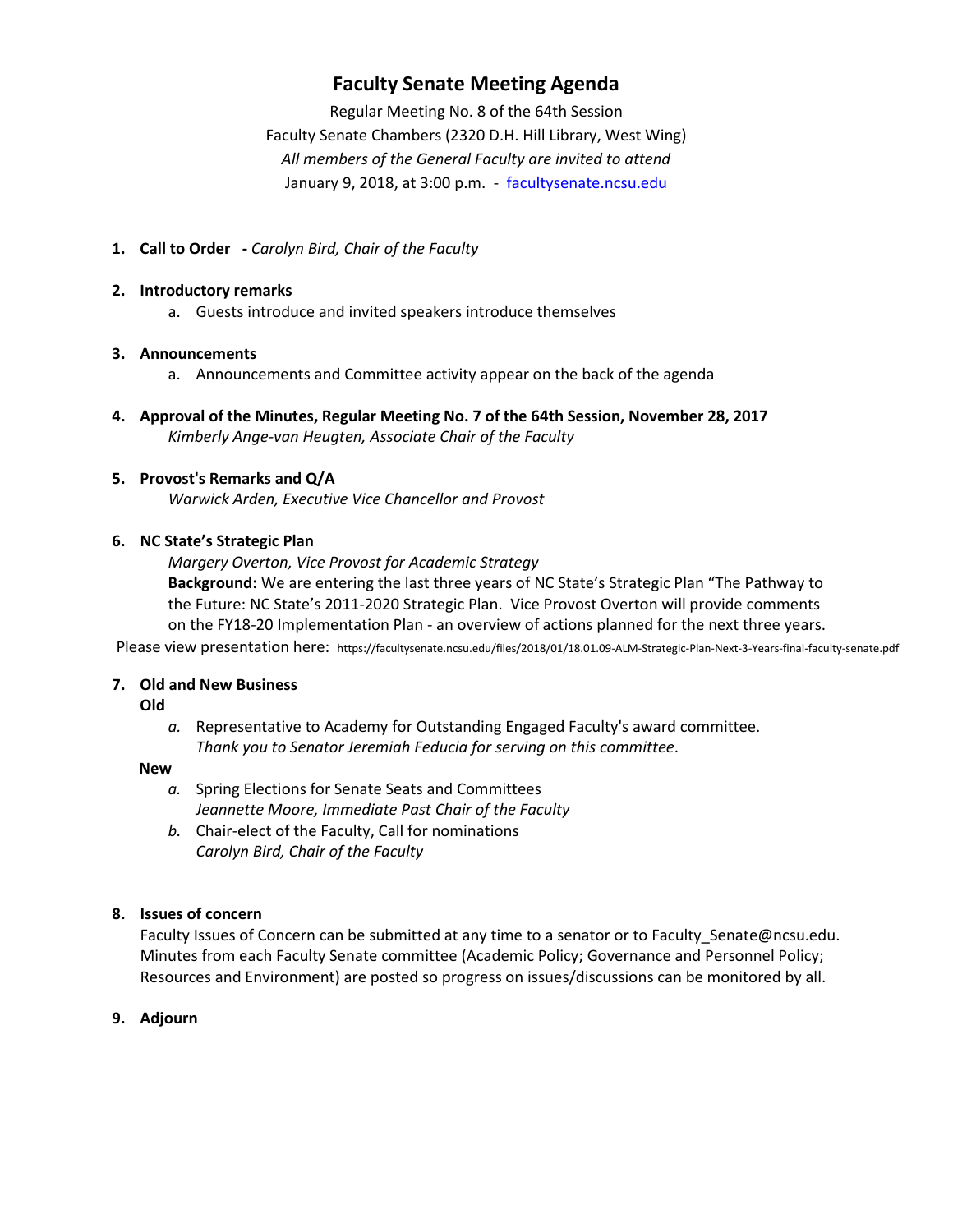## **Faculty Senate Meeting Agenda**

Regular Meeting No. 8 of the 64th Session Faculty Senate Chambers (2320 D.H. Hill Library, West Wing) *All members of the General Faculty are invited to attend* January 9, 2018, at 3:00 p.m. - facultysenate.ncsu.edu

**1. Call to Order -** *Carolyn Bird, Chair of the Faculty*

#### **2. Introductory remarks**

a. Guests introduce and invited speakers introduce themselves

## **3. Announcements**

- a. Announcements and Committee activity appear on the back of the agenda
- **4. Approval of the Minutes, Regular Meeting No. 7 of the 64th Session, November 28, 2017** *Kimberly Ange-van Heugten, Associate Chair of the Faculty*

## **5. Provost's Remarks and Q/A**

*Warwick Arden, Executive Vice Chancellor and Provost*

## **6. NC State's Strategic Plan**

*Margery Overton, Vice Provost for Academic Strategy* **Background:** We are entering the last three years of NC State's Strategic Plan "The Pathway to the Future: NC State's 2011-2020 Strategic Plan. Vice Provost Overton will provide comments on the FY18-20 Implementation Plan - an overview of actions planned for the next three years.

Please view presentation here: https://facultysenate.ncsu.edu/files/2018/01/18.01.09-ALM-Strategic-Plan-Next-3-Years-final-faculty-senate.pdf

## **7. Old and New Business**

#### **Old**

*a.* Representative to Academy for Outstanding Engaged Faculty's award committee. *Thank you to Senator Jeremiah Feducia for serving on this committee*.

#### **New**

- *a.* Spring Elections for Senate Seats and Committees *Jeannette Moore, Immediate Past Chair of the Faculty*
- *b.* Chair-elect of the Faculty, Call for nominations *Carolyn Bird, Chair of the Faculty*

## **8. Issues of concern**

Faculty Issues of Concern can be submitted at any time to a senator or to Faculty Senate@ncsu.edu. Minutes from each Faculty Senate committee (Academic Policy; Governance and Personnel Policy; Resources and Environment) are posted so progress on issues/discussions can be monitored by all.

**9. Adjourn**